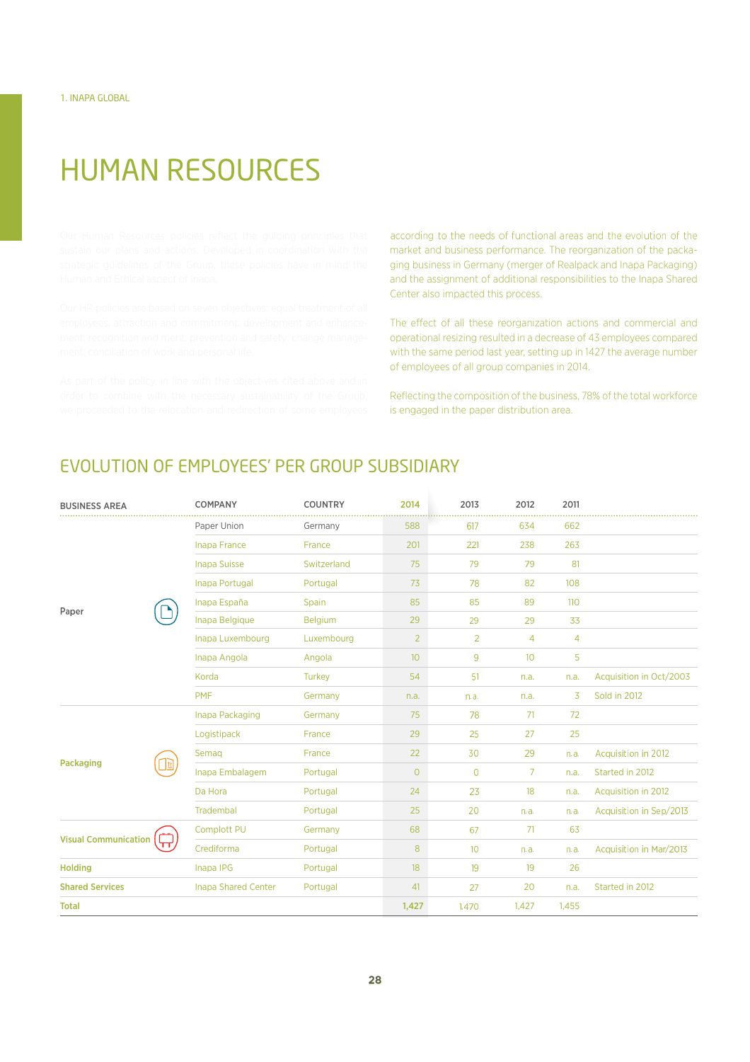## HUMAN RESOURCES

\$--  -\$ \$ \$ \$  market and business performance. The reorganization of the packaging business in Germany (merger of Realpack and Inapa Packaging) and the assignment of additional responsibilities to the Inapa Shared Center also impacted this process.

The effect of all these reorganization actions and commercial and operational resizing resulted in a decrease of 43 employees compared with the same period last year, setting up in 1427 the average number of employees of all group companies in 2014.

Reflecting the composition of the business, 78% of the total workforce is engaged in the paper distribution area.

## EVOLUTION OF EMPLOYEES' PER GROUP SUBSIDIARY

| <b>BUSINESS AREA</b>        |   | <b>COMPANY</b>             | <b>COUNTRY</b> | 2014            | 2013           | 2012             | 2011           |                         |
|-----------------------------|---|----------------------------|----------------|-----------------|----------------|------------------|----------------|-------------------------|
| Paper                       |   | Paper Union                | Germany        | 588             | 617            | 634              | 662            |                         |
|                             |   | <b>Inapa France</b>        | France         | 201             | 221            | 238              | 263            |                         |
|                             |   | <b>Inapa Suisse</b>        | Switzerland    | 75              | 79             | 79               | 81             |                         |
|                             |   | Inapa Portugal             | Portugal       | 73              | 78             | 82               | 108            |                         |
|                             |   | Inapa España               | Spain          | 85              | 85             | 89               | 110            |                         |
|                             |   | Inapa Belgique             | Belgium        | 29              | 29             | 29               | 33             |                         |
|                             |   | Inapa Luxembourg           | Luxembourg     | $\overline{2}$  | $\overline{2}$ | $\overline{4}$   | $\overline{4}$ |                         |
|                             |   | Inapa Angola               | Angola         | 10 <sup>°</sup> | 9              | 10 <sup>10</sup> | 5              |                         |
|                             |   | Korda                      | <b>Turkey</b>  | 54              | 51             | n.a.             | n.a.           | Acquisition in Oct/2003 |
|                             |   | <b>PMF</b>                 | Germany        | n.a.            | n.a.           | n.a.             | 3              | Sold in 2012            |
| Packaging                   | 団 | Inapa Packaging            | Germany        | 75              | 78             | 71               | 72             |                         |
|                             |   | Logistipack                | France         | 29              | 25             | 27               | 25             |                         |
|                             |   | Semag                      | France         | 22              | 30             | 29               | n.a.           | Acquisition in 2012     |
|                             |   | Inapa Embalagem            | Portugal       | $\circ$         | $\circ$        | 7                | n.a.           | Started in 2012         |
|                             |   | Da Hora                    | Portugal       | 24              | 23             | 18               | n.a.           | Acquisition in 2012     |
|                             |   | <b>Tradembal</b>           | Portugal       | 25              | 20             | n.a.             | n.a.           | Acquisition in Sep/2013 |
| <b>Visual Communication</b> | π | <b>Complott PU</b>         | Germany        | 68              | 67             | 71               | 63             |                         |
|                             |   | Crediforma                 | Portugal       | 8               | 10             | n.a.             | n.a.           | Acquisition in Mar/2013 |
| <b>Holding</b>              |   | Inapa IPG                  | Portugal       | 18              | 19             | 19               | 26             |                         |
| <b>Shared Services</b>      |   | <b>Inapa Shared Center</b> | Portugal       | 41              | 27             | 20               | n.a.           | Started in 2012         |
| <b>Total</b>                |   |                            |                | 1,427           | 1,470          | 1,427            | 1,455          |                         |